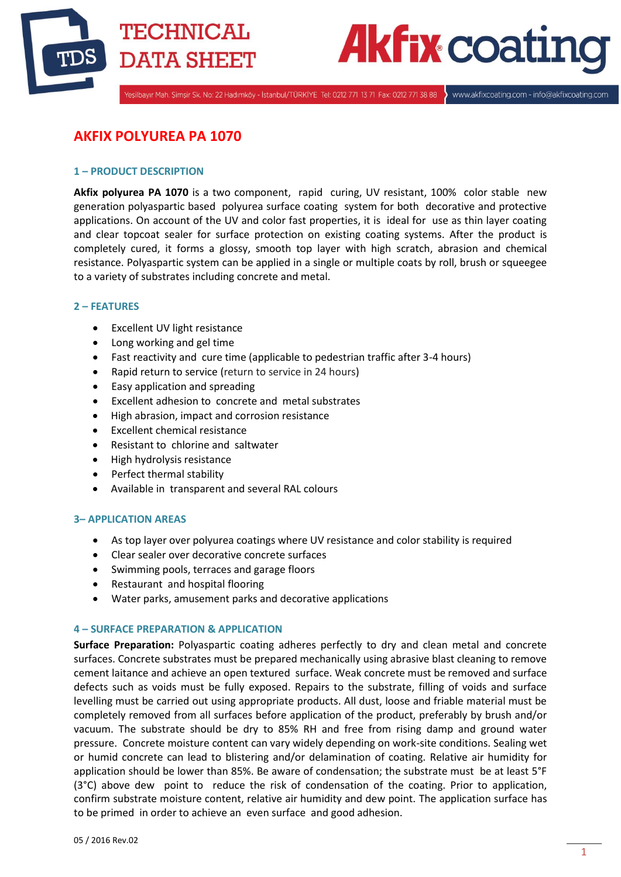



Yeşilbayır Mah. Şimşir Sk. No: 22 Hadımköy - İstanbul/TÜRKİYE Tel: 0212 771 13 71 Fax: 0212 771 38 88

www.akfixcoating.com - info@akfixcoating.com

# **AKFIX POLYUREA PA 1070**

# **1 – PRODUCT DESCRIPTION**

**Akfix polyurea PA 1070** is a two component, rapid curing, UV resistant, 100% color stable new generation polyaspartic based polyurea surface coating system for both decorative and protective applications. On account of the UV and color fast properties, it is ideal for use as thin layer coating and clear topcoat sealer for surface protection on existing coating systems. After the product is completely cured, it forms a glossy, smooth top layer with high scratch, abrasion and chemical resistance. Polyaspartic system can be applied in a single or multiple coats by roll, brush or squeegee to a variety of substrates including concrete and metal.

# **2 – FEATURES**

- Excellent UV light resistance
- Long working and gel time
- Fast reactivity and cure time (applicable to pedestrian traffic after 3-4 hours)
- Rapid return to service (return to service in 24 hours)
- Easy application and spreading
- Excellent adhesion to concrete and metal substrates
- High abrasion, impact and corrosion resistance
- Excellent chemical resistance
- Resistant to chlorine and saltwater
- High hydrolysis resistance
- Perfect thermal stability
- Available in transparent and several RAL colours

### **3– APPLICATION AREAS**

- As top layer over polyurea coatings where UV resistance and color stability is required
- Clear sealer over decorative concrete surfaces
- Swimming pools, terraces and garage floors
- Restaurant and hospital flooring
- Water parks, amusement parks and decorative applications

#### **4 – SURFACE PREPARATION & APPLICATION**

**Surface Preparation:** Polyaspartic coating adheres perfectly to dry and clean metal and concrete surfaces. Concrete substrates must be prepared mechanically using abrasive blast cleaning to remove cement laitance and achieve an open textured surface. Weak concrete must be removed and surface defects such as voids must be fully exposed. Repairs to the substrate, filling of voids and surface levelling must be carried out using appropriate products. All dust, loose and friable material must be completely removed from all surfaces before application of the product, preferably by brush and/or vacuum. The substrate should be dry to 85% RH and free from rising damp and ground water pressure. Concrete moisture content can vary widely depending on work-site conditions. Sealing wet or humid concrete can lead to blistering and/or delamination of coating. Relative air humidity for application should be lower than 85%. Be aware of condensation; the substrate must be at least 5°F (3°C) above dew point to reduce the risk of condensation of the coating. Prior to application, confirm substrate moisture content, relative air humidity and dew point. The application surface has to be primed in order to achieve an even surface and good adhesion.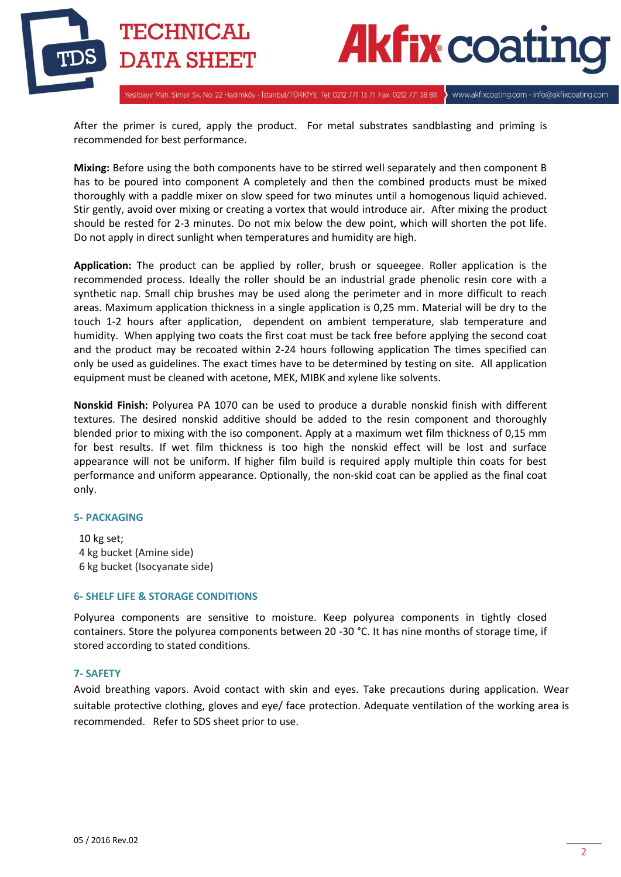

# **Akfix coat**

www.akfixcoating.com - info@akfixcoating.com

Yeşilbayır Mah. Şimşir Sk. No: 22 Hadımköy - İstanbul/TÜRKİYE Tel: 0212 771 13 71 Fax: 0212 771 38 88

After the primer is cured, apply the product. For metal substrates sandblasting and priming is recommended for best performance.

**Mixing:** Before using the both components have to be stirred well separately and then component B has to be poured into component A completely and then the combined products must be mixed thoroughly with a paddle mixer on slow speed for two minutes until a homogenous liquid achieved. Stir gently, avoid over mixing or creating a vortex that would introduce air. After mixing the product should be rested for 2-3 minutes. Do not mix below the dew point, which will shorten the pot life. Do not apply in direct sunlight when temperatures and humidity are high.

**Application:** The product can be applied by roller, brush or squeegee. Roller application is the recommended process. Ideally the roller should be an industrial grade phenolic resin core with a synthetic nap. Small chip brushes may be used along the perimeter and in more difficult to reach areas. Maximum application thickness in a single application is 0,25 mm. Material will be dry to the touch 1-2 hours after application, dependent on ambient temperature, slab temperature and humidity. When applying two coats the first coat must be tack free before applying the second coat and the product may be recoated within 2-24 hours following application The times specified can only be used as guidelines. The exact times have to be determined by testing on site. All application equipment must be cleaned with acetone, MEK, MIBK and xylene like solvents.

**Nonskid Finish:** Polyurea PA 1070 can be used to produce a durable nonskid finish with different textures. The desired nonskid additive should be added to the resin component and thoroughly blended prior to mixing with the iso component. Apply at a maximum wet film thickness of 0,15 mm for best results. If wet film thickness is too high the nonskid effect will be lost and surface appearance will not be uniform. If higher film build is required apply multiple thin coats for best performance and uniform appearance. Optionally, the non-skid coat can be applied as the final coat only.

# **5- PACKAGING**

 10 kg set; 4 kg bucket (Amine side) 6 kg bucket (Isocyanate side)

# **6- SHELF LIFE & STORAGE CONDITIONS**

Polyurea components are sensitive to moisture. Keep polyurea components in tightly closed containers. Store the polyurea components between 20 -30 °C. It has nine months of storage time, if stored according to stated conditions.

# **7- SAFETY**

Avoid breathing vapors. Avoid contact with skin and eyes. Take precautions during application. Wear suitable protective clothing, gloves and eye/ face protection. Adequate ventilation of the working area is recommended. Refer to SDS sheet prior to use.